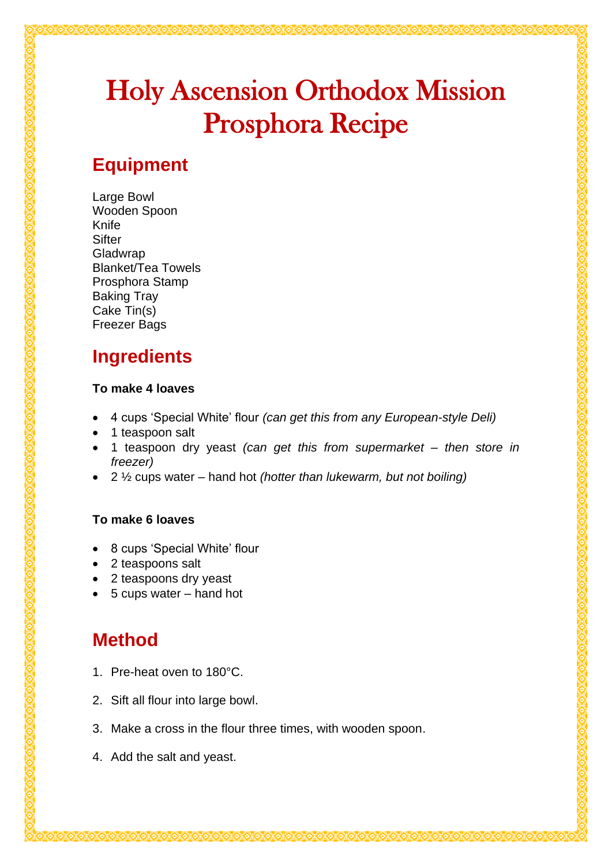# Holy Ascension Orthodox Mission Prosphora Recipe

## **Equipment**

Large Bowl Wooden Spoon Knife **Sifter** Gladwrap Blanket/Tea Towels Prosphora Stamp Baking Tray Cake Tin(s) Freezer Bags

# **Ingredients**

#### **To make 4 loaves**

- 4 cups 'Special White' flour *(can get this from any European-style Deli)*
- 1 teaspoon salt
- 1 teaspoon dry yeast *(can get this from supermarket – then store in freezer)*
- 2 ½ cups water hand hot *(hotter than lukewarm, but not boiling)*

#### **To make 6 loaves**

- 8 cups 'Special White' flour
- 2 teaspoons salt
- 2 teaspoons dry yeast
- 5 cups water hand hot

### **Method**

- 1. Pre-heat oven to 180°C.
- 2. Sift all flour into large bowl.
- 3. Make a cross in the flour three times, with wooden spoon.
- 4. Add the salt and yeast.